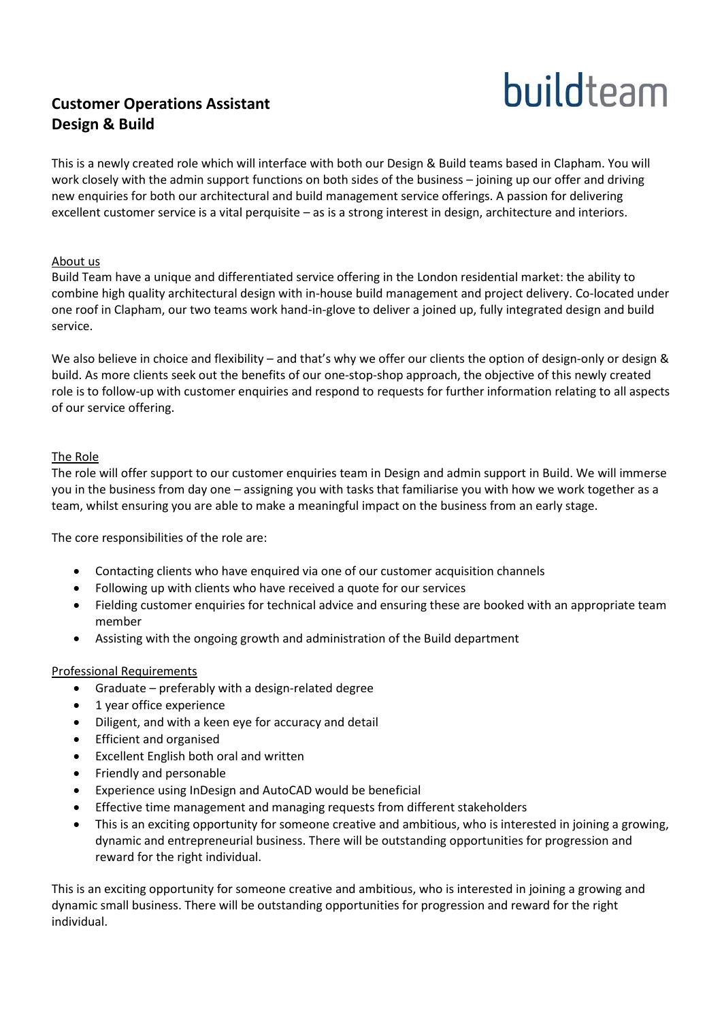# **Customer Operations Assistant Design & Build**



This is a newly created role which will interface with both our Design & Build teams based in Clapham. You will work closely with the admin support functions on both sides of the business – joining up our offer and driving new enquiries for both our architectural and build management service offerings. A passion for delivering excellent customer service is a vital perquisite – as is a strong interest in design, architecture and interiors.

# About us

Build Team have a unique and differentiated service offering in the London residential market: the ability to combine high quality architectural design with in-house build management and project delivery. Co-located under one roof in Clapham, our two teams work hand-in-glove to deliver a joined up, fully integrated design and build service.

We also believe in choice and flexibility – and that's why we offer our clients the option of design-only or design & build. As more clients seek out the benefits of our one-stop-shop approach, the objective of this newly created role is to follow-up with customer enquiries and respond to requests for further information relating to all aspects of our service offering.

# The Role

The role will offer support to our customer enquiries team in Design and admin support in Build. We will immerse you in the business from day one – assigning you with tasks that familiarise you with how we work together as a team, whilst ensuring you are able to make a meaningful impact on the business from an early stage.

The core responsibilities of the role are:

- Contacting clients who have enquired via one of our customer acquisition channels
- Following up with clients who have received a quote for our services
- Fielding customer enquiries for technical advice and ensuring these are booked with an appropriate team member
- Assisting with the ongoing growth and administration of the Build department

#### Professional Requirements

- Graduate preferably with a design-related degree
- 1 year office experience
- Diligent, and with a keen eye for accuracy and detail
- **•** Efficient and organised
- Excellent English both oral and written
- Friendly and personable
- Experience using InDesign and AutoCAD would be beneficial
- Effective time management and managing requests from different stakeholders
- This is an exciting opportunity for someone creative and ambitious, who is interested in joining a growing, dynamic and entrepreneurial business. There will be outstanding opportunities for progression and reward for the right individual.

This is an exciting opportunity for someone creative and ambitious, who is interested in joining a growing and dynamic small business. There will be outstanding opportunities for progression and reward for the right individual.